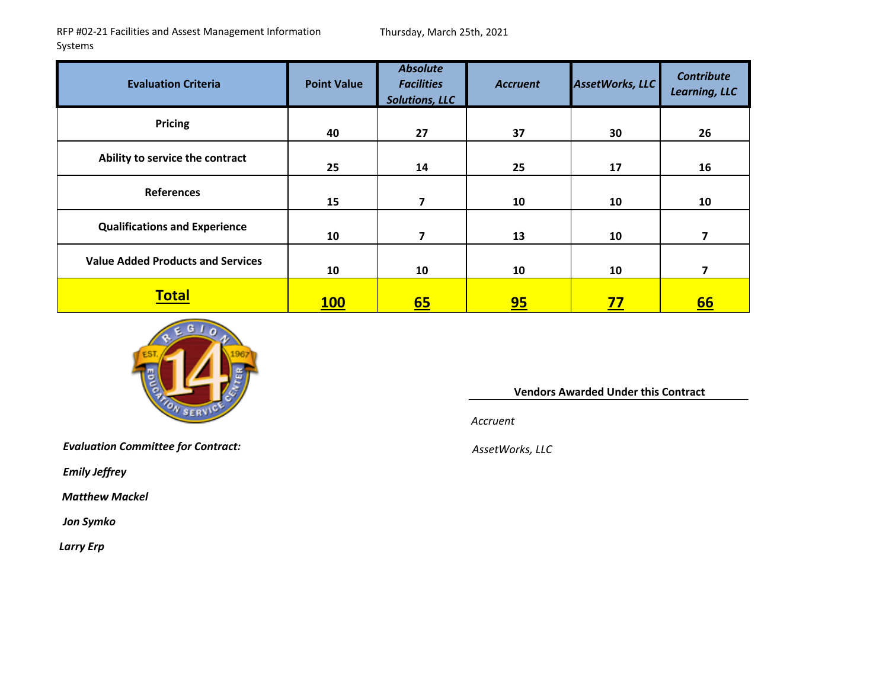RFP #02‐21 Facilities and Assest Management Information Systems

Thursday, March 25th, 2021

| <b>Evaluation Criteria</b>               | <b>Point Value</b> | <b>Absolute</b><br><b>Facilities</b><br><b>Solutions, LLC</b> | <b>Accruent</b> | AssetWorks, LLC | <b>Contribute</b><br>Learning, LLC |
|------------------------------------------|--------------------|---------------------------------------------------------------|-----------------|-----------------|------------------------------------|
| <b>Pricing</b>                           | 40                 | 27                                                            | 37              | 30              | 26                                 |
| Ability to service the contract          | 25                 | 14                                                            | 25              | 17              | 16                                 |
| <b>References</b>                        | 15                 | 7                                                             | 10              | 10              | 10                                 |
| <b>Qualifications and Experience</b>     | 10                 | 7                                                             | 13              | 10              | 7                                  |
| <b>Value Added Products and Services</b> | 10                 | 10                                                            | 10              | 10              | 7                                  |
| <b>Total</b>                             | <b>100</b>         | <u>65</u>                                                     | <u>95</u>       | <u>77</u>       | <u>66</u>                          |



**Vendors Awarded Under this Contract**

*Accruent*

*Evaluation Committee for Contract: AssetWorks, LLC*

*Emily Jeffrey*

*Matthew Mackel*

*Jon Symko*

*Larry Erp*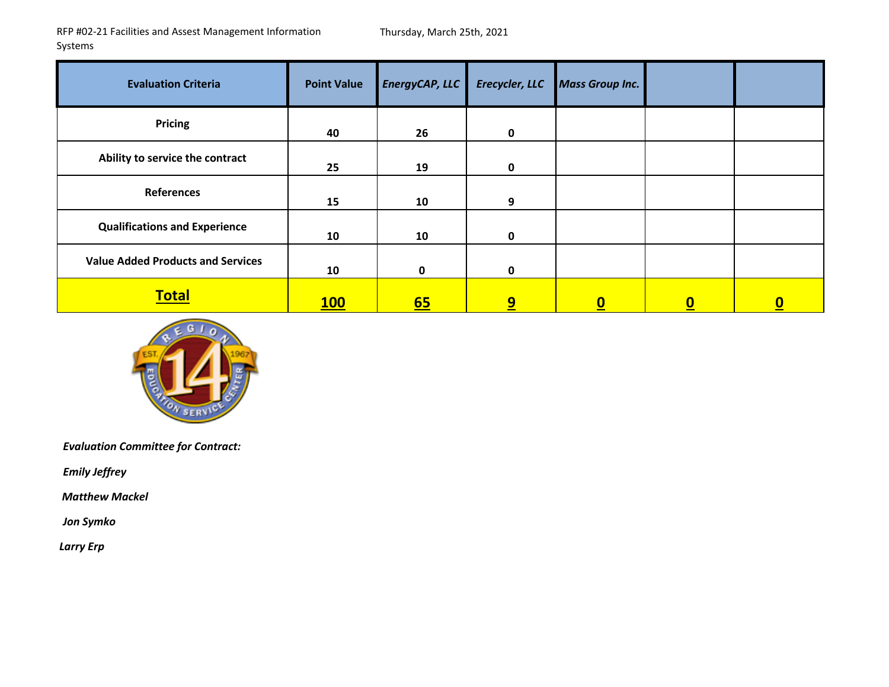| <b>Evaluation Criteria</b>               | <b>Point Value</b> | EnergyCAP, LLC   | Erecycler, LLC | <b>Mass Group Inc.</b> |              |          |
|------------------------------------------|--------------------|------------------|----------------|------------------------|--------------|----------|
| <b>Pricing</b>                           | 40                 | 26               | $\mathbf 0$    |                        |              |          |
| Ability to service the contract          | 25                 | 19               | $\mathbf 0$    |                        |              |          |
| <b>References</b>                        | 15                 | 10               | 9              |                        |              |          |
| <b>Qualifications and Experience</b>     | 10                 | 10               | $\mathbf{0}$   |                        |              |          |
| <b>Value Added Products and Services</b> | 10                 | 0                | $\mathbf 0$    |                        |              |          |
| <b>Total</b>                             | <b>100</b>         | $\underline{65}$ | 9              | $\boldsymbol{0}$       | $\mathbf{0}$ | <u>0</u> |



*Evaluation Committee for Contract:*

*Emily Jeffrey*

*Matthew Mackel*

*Jon Symko*

*Larry Erp*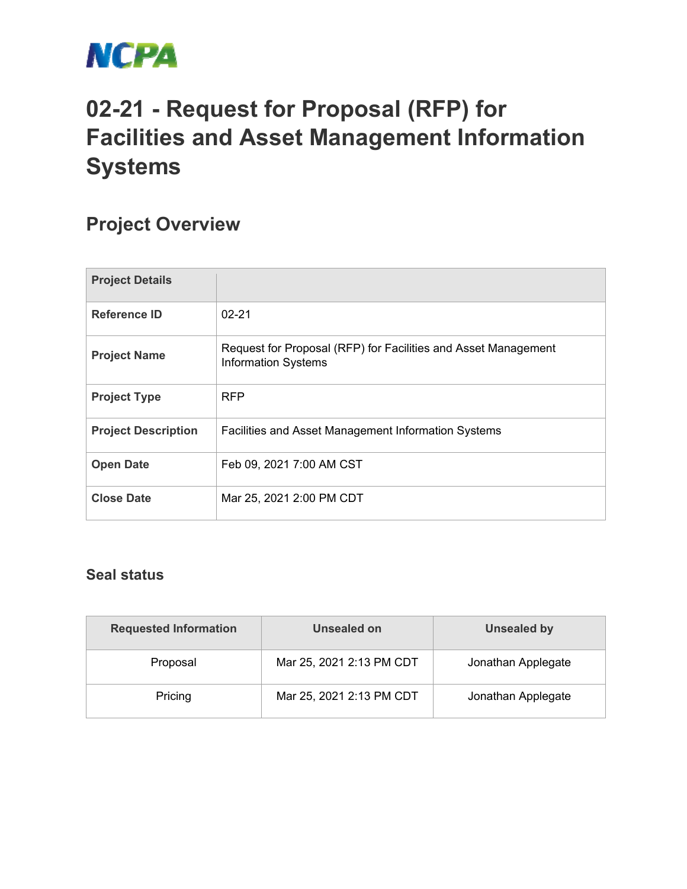

## **02-21 - Request for Proposal (RFP) for Facilities and Asset Management Information Systems**

## **Project Overview**

| <b>Project Details</b>     |                                                                                              |
|----------------------------|----------------------------------------------------------------------------------------------|
| <b>Reference ID</b>        | $02 - 21$                                                                                    |
| <b>Project Name</b>        | Request for Proposal (RFP) for Facilities and Asset Management<br><b>Information Systems</b> |
| <b>Project Type</b>        | <b>RFP</b>                                                                                   |
| <b>Project Description</b> | Facilities and Asset Management Information Systems                                          |
| <b>Open Date</b>           | Feb 09, 2021 7:00 AM CST                                                                     |
| <b>Close Date</b>          | Mar 25, 2021 2:00 PM CDT                                                                     |

## **Seal status**

| <b>Requested Information</b> | Unsealed on              | <b>Unsealed by</b> |
|------------------------------|--------------------------|--------------------|
| Proposal                     | Mar 25, 2021 2:13 PM CDT | Jonathan Applegate |
| Pricing                      | Mar 25, 2021 2:13 PM CDT | Jonathan Applegate |